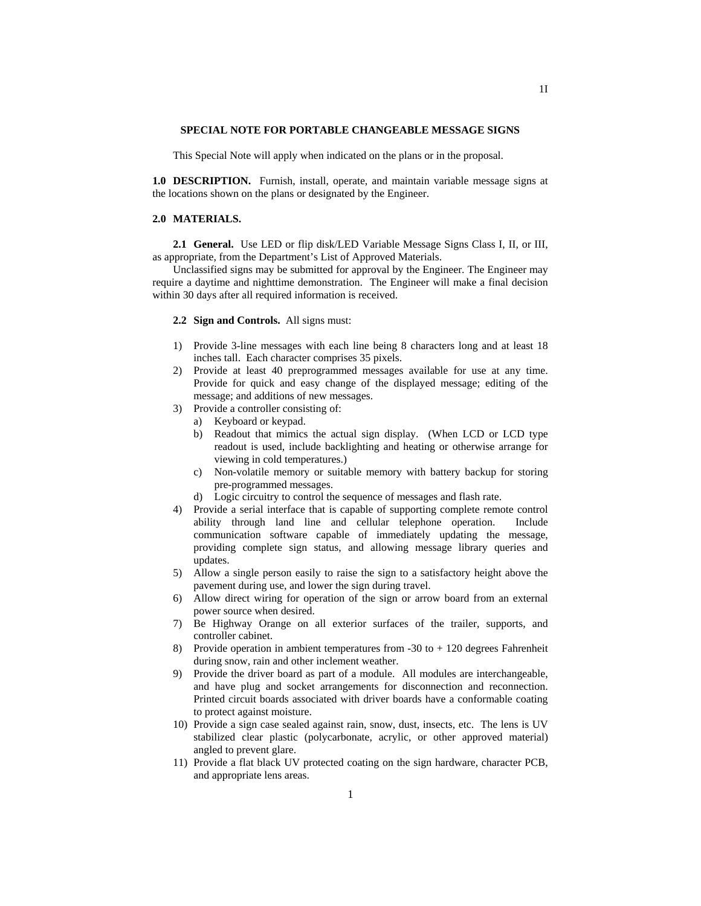## **SPECIAL NOTE FOR PORTABLE CHANGEABLE MESSAGE SIGNS**

This Special Note will apply when indicated on the plans or in the proposal.

**1.0 DESCRIPTION.** Furnish, install, operate, and maintain variable message signs at the locations shown on the plans or designated by the Engineer.

## **2.0 MATERIALS.**

**2.1 General.** Use LED or flip disk/LED Variable Message Signs Class I, II, or III, as appropriate, from the Department's List of Approved Materials.

Unclassified signs may be submitted for approval by the Engineer. The Engineer may require a daytime and nighttime demonstration. The Engineer will make a final decision within 30 days after all required information is received.

## **2.2 Sign and Controls.** All signs must:

- 1) Provide 3-line messages with each line being 8 characters long and at least 18 inches tall. Each character comprises 35 pixels.
- 2) Provide at least 40 preprogrammed messages available for use at any time. Provide for quick and easy change of the displayed message; editing of the message; and additions of new messages.
- 3) Provide a controller consisting of:
	- a) Keyboard or keypad.
	- b) Readout that mimics the actual sign display. (When LCD or LCD type readout is used, include backlighting and heating or otherwise arrange for viewing in cold temperatures.)
	- c) Non-volatile memory or suitable memory with battery backup for storing pre-programmed messages.
	- d) Logic circuitry to control the sequence of messages and flash rate.
- 4) Provide a serial interface that is capable of supporting complete remote control ability through land line and cellular telephone operation. Include communication software capable of immediately updating the message, providing complete sign status, and allowing message library queries and updates.
- 5) Allow a single person easily to raise the sign to a satisfactory height above the pavement during use, and lower the sign during travel.
- 6) Allow direct wiring for operation of the sign or arrow board from an external power source when desired.
- 7) Be Highway Orange on all exterior surfaces of the trailer, supports, and controller cabinet.
- 8) Provide operation in ambient temperatures from  $-30$  to  $+120$  degrees Fahrenheit during snow, rain and other inclement weather.
- 9) Provide the driver board as part of a module. All modules are interchangeable, and have plug and socket arrangements for disconnection and reconnection. Printed circuit boards associated with driver boards have a conformable coating to protect against moisture.
- 10) Provide a sign case sealed against rain, snow, dust, insects, etc. The lens is UV stabilized clear plastic (polycarbonate, acrylic, or other approved material) angled to prevent glare.
- 11) Provide a flat black UV protected coating on the sign hardware, character PCB, and appropriate lens areas.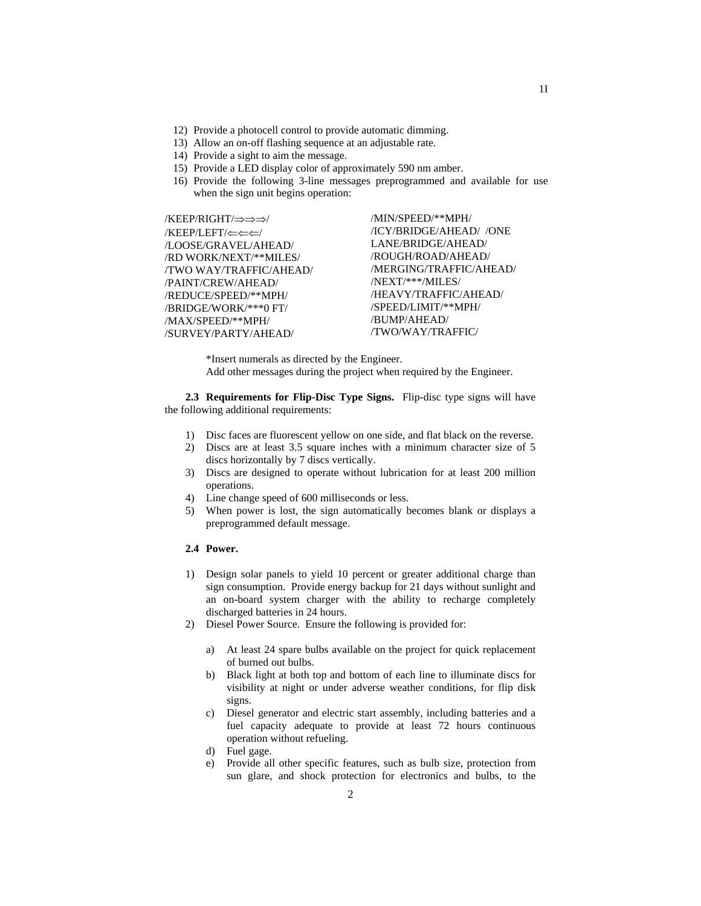- 12) Provide a photocell control to provide automatic dimming.
- 13) Allow an on-off flashing sequence at an adjustable rate.
- 14) Provide a sight to aim the message.
- 15) Provide a LED display color of approximately 590 nm amber.
- 16) Provide the following 3-line messages preprogrammed and available for use when the sign unit begins operation:

```
/KEEP/RIGHT/⇒⇒⇒/ 
/KEEP/LEFT/⇐⇐⇐/ 
/LOOSE/GRAVEL/AHEAD/ 
/RD WORK/NEXT/**MILES/ 
/TWO WAY/TRAFFIC/AHEAD/
/PAINT/CREW/AHEAD/ 
/REDUCE/SPEED/**MPH/ 
/BRIDGE/WORK/***0 FT/ 
/MAX/SPEED/**MPH/ 
/SURVEY/PARTY/AHEAD/ 
                                   /MIN/SPEED/**MPH/ 
                                   /ICY/BRIDGE/AHEAD/ /ONE 
                                   LANE/BRIDGE/AHEAD/ 
                                   /ROUGH/ROAD/AHEAD/ 
                                   /MERGING/TRAFFIC/AHEAD/ 
                                   /NEXT/***/MILES/ 
                                   /HEAVY/TRAFFIC/AHEAD/ 
                                   /SPEED/LIMIT/**MPH/ 
                                   /BUMP/AHEAD/ 
                                   /TWO/WAY/TRAFFIC/
```
\*Insert numerals as directed by the Engineer.

Add other messages during the project when required by the Engineer.

**2.3 Requirements for Flip-Disc Type Signs.** Flip-disc type signs will have the following additional requirements:

- 1) Disc faces are fluorescent yellow on one side, and flat black on the reverse.
- 2) Discs are at least 3.5 square inches with a minimum character size of 5 discs horizontally by 7 discs vertically.
- 3) Discs are designed to operate without lubrication for at least 200 million operations.
- 4) Line change speed of 600 milliseconds or less.
- 5) When power is lost, the sign automatically becomes blank or displays a preprogrammed default message.

## **2.4 Power.**

- 1) Design solar panels to yield 10 percent or greater additional charge than sign consumption. Provide energy backup for 21 days without sunlight and an on-board system charger with the ability to recharge completely discharged batteries in 24 hours.
- 2) Diesel Power Source. Ensure the following is provided for:
	- a) At least 24 spare bulbs available on the project for quick replacement of burned out bulbs.
	- b) Black light at both top and bottom of each line to illuminate discs for visibility at night or under adverse weather conditions, for flip disk signs.
	- c) Diesel generator and electric start assembly, including batteries and a fuel capacity adequate to provide at least 72 hours continuous operation without refueling.
	- d) Fuel gage.
	- e) Provide all other specific features, such as bulb size, protection from sun glare, and shock protection for electronics and bulbs, to the